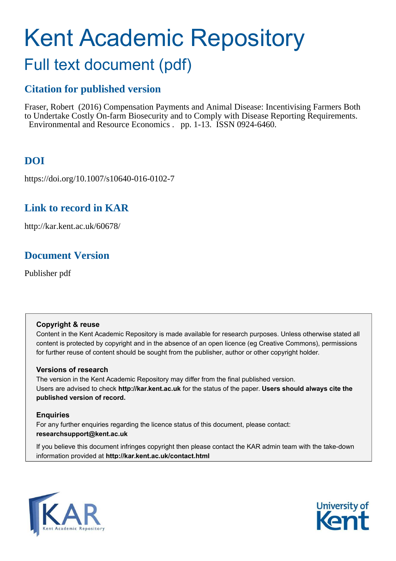# Kent Academic Repository Full text document (pdf)

# **Citation for published version**

Fraser, Robert (2016) Compensation Payments and Animal Disease: Incentivising Farmers Both to Undertake Costly On-farm Biosecurity and to Comply with Disease Reporting Requirements. Environmental and Resource Economics . pp. 1-13. ISSN 0924-6460.

# **DOI**

https://doi.org/10.1007/s10640-016-0102-7

# **Link to record in KAR**

http://kar.kent.ac.uk/60678/

# **Document Version**

Publisher pdf

#### **Copyright & reuse**

Content in the Kent Academic Repository is made available for research purposes. Unless otherwise stated all content is protected by copyright and in the absence of an open licence (eg Creative Commons), permissions for further reuse of content should be sought from the publisher, author or other copyright holder.

#### **Versions of research**

The version in the Kent Academic Repository may differ from the final published version. Users are advised to check **http://kar.kent.ac.uk** for the status of the paper. **Users should always cite the published version of record.**

#### **Enquiries**

For any further enquiries regarding the licence status of this document, please contact: **researchsupport@kent.ac.uk**

If you believe this document infringes copyright then please contact the KAR admin team with the take-down information provided at **http://kar.kent.ac.uk/contact.html**



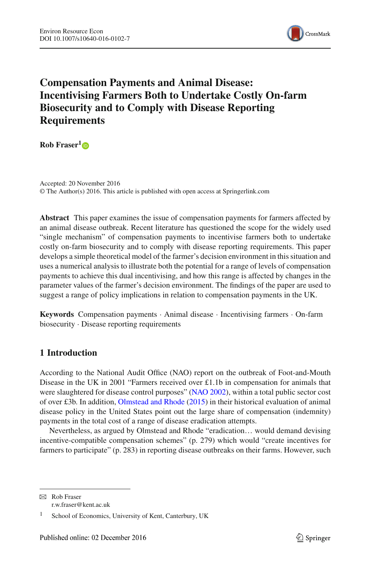

### **Compensation Payments and Animal Disease: Incentivising Farmers Both to Undertake Costly On-farm Biosecurity and to Comply with Disease Reporting Requirements**

**Rob Fraser[1](http://orcid.org/0000-0003-3444-581X)**

Accepted: 20 November 2016 © The Author(s) 2016. This article is published with open access at Springerlink.com

**Abstract** This paper examines the issue of compensation payments for farmers affected by an animal disease outbreak. Recent literature has questioned the scope for the widely used "single mechanism" of compensation payments to incentivise farmers both to undertake costly on-farm biosecurity and to comply with disease reporting requirements. This paper develops a simple theoretical model of the farmer's decision environment in this situation and uses a numerical analysis to illustrate both the potential for a range of levels of compensation payments to achieve this dual incentivising, and how this range is affected by changes in the parameter values of the farmer's decision environment. The findings of the paper are used to suggest a range of policy implications in relation to compensation payments in the UK.

**Keywords** Compensation payments · Animal disease · Incentivising farmers · On-farm biosecurity · Disease reporting requirements

#### **1 Introduction**

According to the National Audit Office (NAO) report on the outbreak of Foot-and-Mouth Disease in the UK in 2001 "Farmers received over £1.1b in compensation for animals that were slaughtered for disease control purposes" [\(NAO 2002](#page-12-0)), within a total public sector cost of over £3b. In addition, [Olmstead and Rhode](#page-12-1) [\(2015\)](#page-12-1) in their historical evaluation of animal disease policy in the United States point out the large share of compensation (indemnity) payments in the total cost of a range of disease eradication attempts.

Nevertheless, as argued by Olmstead and Rhode "eradication… would demand devising incentive-compatible compensation schemes" (p. 279) which would "create incentives for farmers to participate" (p. 283) in reporting disease outbreaks on their farms. However, such

<span id="page-1-0"></span> $\boxtimes$  Rob Fraser r.w.fraser@kent.ac.uk

<span id="page-1-1"></span>School of Economics, University of Kent, Canterbury, UK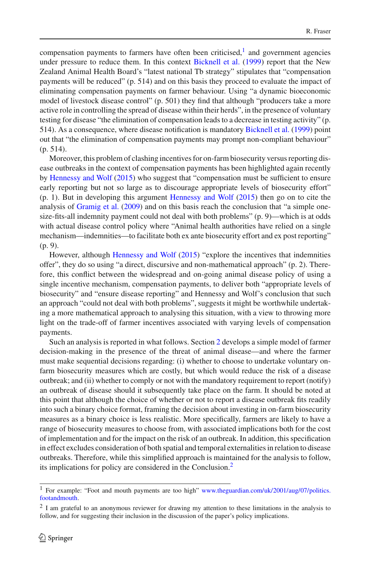compensation payments to farmers have often been criticised,<sup>[1](#page-1-0)</sup> and government agencies under pressure to reduce them. In this context [Bicknell et al.](#page-12-2) [\(1999](#page-12-2)) report that the New Zealand Animal Health Board's "latest national Tb strategy" stipulates that "compensation payments will be reduced" (p. 514) and on this basis they proceed to evaluate the impact of eliminating compensation payments on farmer behaviour. Using "a dynamic bioeconomic model of livestock disease control" (p. 501) they find that although "producers take a more active role in controlling the spread of disease within their herds", in the presence of voluntary testing for disease "the elimination of compensation leads to a decrease in testing activity" (p. 514). As a consequence, where disease notification is mandatory [Bicknell et al.](#page-12-2) [\(1999](#page-12-2)) point out that "the elimination of compensation payments may prompt non-compliant behaviour" (p. 514).

Moreover, this problem of clashing incentives for on-farm biosecurity versus reporting disease outbreaks in the context of compensation payments has been highlighted again recently by [Hennessy and Wolf](#page-12-3) [\(2015\)](#page-12-3) who suggest that "compensation must be sufficient to ensure early reporting but not so large as to discourage appropriate levels of biosecurity effort" (p. 1). But in developing this argument [Hennessy and Wolf](#page-12-3) [\(2015\)](#page-12-3) then go on to cite the analysis of [Gramig et al.](#page-12-4) [\(2009](#page-12-4)) and on this basis reach the conclusion that "a simple onesize-fits-all indemnity payment could not deal with both problems" (p. 9)—which is at odds with actual disease control policy where "Animal health authorities have relied on a single mechanism—indemnities—to facilitate both ex ante biosecurity effort and ex post reporting" (p. 9).

<span id="page-2-0"></span>However, although [Hennessy and Wolf](#page-12-3) [\(2015](#page-12-3)) "explore the incentives that indemnities offer", they do so using "a direct, discursive and non-mathematical approach" (p. 2). Therefore, this conflict between the widespread and on-going animal disease policy of using a single incentive mechanism, compensation payments, to deliver both "appropriate levels of biosecurity" and "ensure disease reporting" and Hennessy and Wolf's conclusion that such an approach "could not deal with both problems", suggests it might be worthwhile undertaking a more mathematical approach to analysing this situation, with a view to throwing more light on the trade-off of farmer incentives associated with varying levels of compensation payments.

Such an analysis is reported in what follows. Section [2](#page-2-0) develops a simple model of farmer decision-making in the presence of the threat of animal disease—and where the farmer must make sequential decisions regarding: (i) whether to choose to undertake voluntary onfarm biosecurity measures which are costly, but which would reduce the risk of a disease outbreak; and (ii) whether to comply or not with the mandatory requirement to report (notify) an outbreak of disease should it subsequently take place on the farm. It should be noted at this point that although the choice of whether or not to report a disease outbreak fits readily into such a binary choice format, framing the decision about investing in on-farm biosecurity measures as a binary choice is less realistic. More specifically, farmers are likely to have a range of biosecurity measures to choose from, with associated implications both for the cost of implementation and for the impact on the risk of an outbreak. In addition, this specification in effect excludes consideration of both spatial and temporal externalities in relation to disease outbreaks. Therefore, while this simplified approach is maintained for the analysis to follow, its implications for policy are considered in the Conclusion.<sup>[2](#page-1-1)</sup>

<sup>1</sup> For example: "Foot and mouth payments are too high" [www.theguardian.com/uk/2001/aug/07/politics.](www.theguardian.com/uk/2001/aug/07/politics.footandmouth) [footandmouth.](www.theguardian.com/uk/2001/aug/07/politics.footandmouth)

<span id="page-2-1"></span> $2$  I am grateful to an anonymous reviewer for drawing my attention to these limitations in the analysis to follow, and for suggesting their inclusion in the discussion of the paper's policy implications.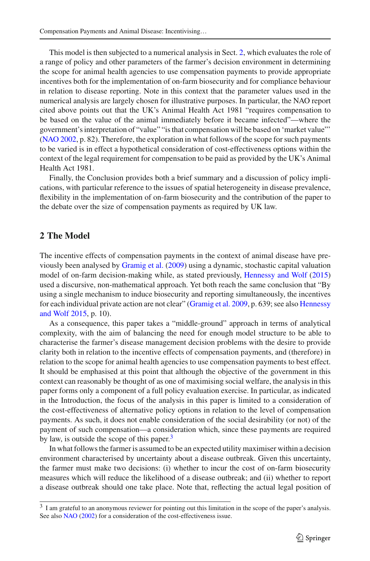This model is then subjected to a numerical analysis in Sect. [2,](#page-2-0) which evaluates the role of a range of policy and other parameters of the farmer's decision environment in determining the scope for animal health agencies to use compensation payments to provide appropriate incentives both for the implementation of on-farm biosecurity and for compliance behaviour in relation to disease reporting. Note in this context that the parameter values used in the numerical analysis are largely chosen for illustrative purposes. In particular, the NAO report cited above points out that the UK's Animal Health Act 1981 "requires compensation to be based on the value of the animal immediately before it became infected"—where the government's interpretation of "value" "is that compensation will be based on 'market value"' [\(NAO 2002,](#page-12-0) p. 82). Therefore, the exploration in what follows of the scope for such payments to be varied is in effect a hypothetical consideration of cost-effectiveness options within the context of the legal requirement for compensation to be paid as provided by the UK's Animal Health Act 1981.

Finally, the Conclusion provides both a brief summary and a discussion of policy implications, with particular reference to the issues of spatial heterogeneity in disease prevalence, flexibility in the implementation of on-farm biosecurity and the contribution of the paper to the debate over the size of compensation payments as required by UK law.

#### **2 The Model**

The incentive effects of compensation payments in the context of animal disease have previously been analysed by [Gramig et al.](#page-12-4) [\(2009\)](#page-12-4) using a dynamic, stochastic capital valuation model of on-farm decision-making while, as stated previously, [Hennessy and Wolf](#page-12-3) [\(2015\)](#page-12-3) used a discursive, non-mathematical approach. Yet both reach the same conclusion that "By using a single mechanism to induce biosecurity and reporting simultaneously, the incentives for each i[ndividual private action are not clear"](#page-12-3) [\(Gramig et al. 2009](#page-12-4)[, p. 639; see also](#page-12-3) Hennessy and Wolf [2015](#page-12-3), p. 10).

As a consequence, this paper takes a "middle-ground" approach in terms of analytical complexity, with the aim of balancing the need for enough model structure to be able to characterise the farmer's disease management decision problems with the desire to provide clarity both in relation to the incentive effects of compensation payments, and (therefore) in relation to the scope for animal health agencies to use compensation payments to best effect. It should be emphasised at this point that although the objective of the government in this context can reasonably be thought of as one of maximising social welfare, the analysis in this paper forms only a component of a full policy evaluation exercise. In particular, as indicated in the Introduction, the focus of the analysis in this paper is limited to a consideration of the cost-effectiveness of alternative policy options in relation to the level of compensation payments. As such, it does not enable consideration of the social desirability (or not) of the payment of such compensation—a consideration which, since these payments are required by law, is outside the scope of this paper.<sup>[3](#page-2-1)</sup>

<span id="page-3-1"></span><span id="page-3-0"></span>In what follows the farmer is assumed to be an expected utility maximiser within a decision environment characterised by uncertainty about a disease outbreak. Given this uncertainty, the farmer must make two decisions: (i) whether to incur the cost of on-farm biosecurity measures which will reduce the likelihood of a disease outbreak; and (ii) whether to report a disease outbreak should one take place. Note that, reflecting the actual legal position of

<span id="page-3-2"></span><sup>&</sup>lt;sup>3</sup> I am grateful to an anonymous reviewer for pointing out this limitation in the scope of the paper's analysis. See also [NAO](#page-12-0) [\(2002\)](#page-12-0) for a consideration of the cost-effectiveness issue.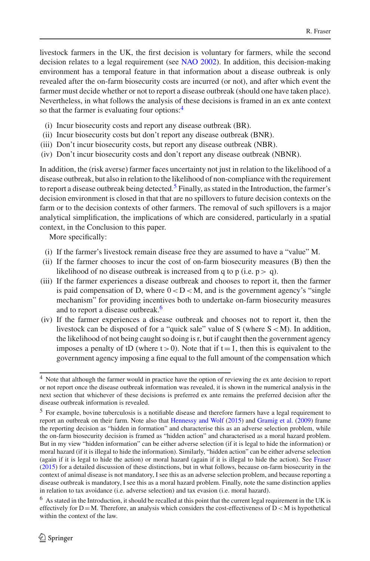livestock farmers in the UK, the first decision is voluntary for farmers, while the second decision relates to a legal requirement (see [NAO 2002](#page-12-0)). In addition, this decision-making environment has a temporal feature in that information about a disease outbreak is only revealed after the on-farm biosecurity costs are incurred (or not), and after which event the farmer must decide whether or not to report a disease outbreak (should one have taken place). Nevertheless, in what follows the analysis of these decisions is framed in an ex ante context so that the farmer is evaluating four options:<sup>[4](#page-3-0)</sup>

- (i) Incur biosecurity costs and report any disease outbreak (BR).
- (ii) Incur biosecurity costs but don't report any disease outbreak (BNR).
- (iii) Don't incur biosecurity costs, but report any disease outbreak (NBR).
- (iv) Don't incur biosecurity costs and don't report any disease outbreak (NBNR).

<span id="page-4-6"></span>In addition, the (risk averse) farmer faces uncertainty not just in relation to the likelihood of a disease outbreak, but also in relation to the likelihood of non-compliance with the requirement to report a disease outbreak being detected.<sup>[5](#page-3-1)</sup> Finally, as stated in the Introduction, the farmer's decision environment is closed in that that are no spillovers to future decision contexts on the farm or to the decision contexts of other farmers. The removal of such spillovers is a major analytical simplification, the implications of which are considered, particularly in a spatial context, in the Conclusion to this paper.

<span id="page-4-4"></span>More specifically:

- (i) If the farmer's livestock remain disease free they are assumed to have a "value" M.
- (ii) If the farmer chooses to incur the cost of on-farm biosecurity measures (B) then the likelihood of no disease outbreak is increased from q to p (i.e.  $p > q$ ).
- (iii) If the farmer experiences a disease outbreak and chooses to report it, then the farmer is paid compensation of D, where  $0 < D < M$ , and is the government agency's "single mechanism" for providing incentives both to undertake on-farm biosecurity measures and to report a disease outbreak.<sup>[6](#page-3-2)</sup>
- (iv) If the farmer experiences a disease outbreak and chooses not to report it, then the livestock can be disposed of for a "quick sale" value of S (where S<M). In addition, the likelihood of not being caught so doing is r, but if caught then the government agency imposes a penalty of tD (where  $t>0$ ). Note that if  $t=1$ , then this is equivalent to the government agency imposing a fine equal to the full amount of the compensation which

<span id="page-4-2"></span><sup>4</sup> Note that although the farmer would in practice have the option of reviewing the ex ante decision to report or not report once the disease outbreak information was revealed, it is shown in the numerical analysis in the next section that whichever of these decisions is preferred ex ante remains the preferred decision after the disease outbreak information is revealed.

<span id="page-4-5"></span><sup>5</sup> For example, bovine tuberculosis is a notifiable disease and therefore farmers have a legal requirement to report an outbreak on their farm. Note also that [Hennessy and Wolf](#page-12-3) [\(2015\)](#page-12-3) and [Gramig et al.](#page-12-4) [\(2009](#page-12-4)) frame the reporting decision as "hidden in formation" and characterise this as an adverse selection problem, while the on-farm biosecurity decision is framed as "hidden action" and characterised as a moral hazard problem. But in my view "hidden information" can be either adverse selection (if it is legal to hide the information) or moral hazard (if it is illegal to hide the information). Similarly, "hidden action" can be either adverse selection (again if it is legal to hide the action) or moral hazard (again if it is illegal to hide the action). See [Fraser](#page-12-5) [\(2015\)](#page-12-5) for a detailed discussion of these distinctions, but in what follows, because on-farm biosecurity in the context of animal disease is not mandatory, I see this as an adverse selection problem, and because reporting a disease outbreak is mandatory, I see this as a moral hazard problem. Finally, note the same distinction applies in relation to tax avoidance (i.e. adverse selection) and tax evasion (i.e. moral hazard).

<span id="page-4-3"></span><span id="page-4-1"></span><span id="page-4-0"></span><sup>6</sup> As stated in the Introduction, it should be recalled at this point that the current legal requirement in the UK is effectively for  $D=M$ . Therefore, an analysis which considers the cost-effectiveness of  $D < M$  is hypothetical within the context of the law.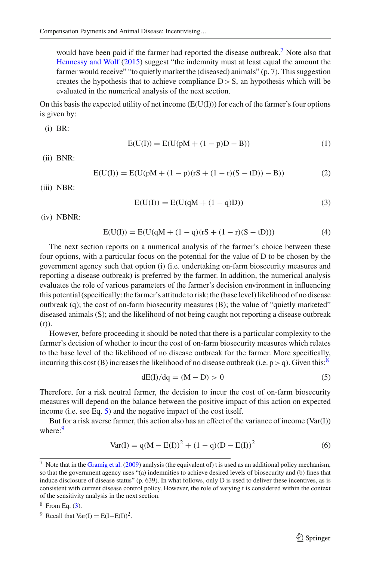would have been paid if the farmer had reported the disease outbreak.[7](#page-4-0) Note also that [Hennessy and Wolf](#page-12-3) [\(2015](#page-12-3)) suggest "the indemnity must at least equal the amount the farmer would receive" "to quietly market the (diseased) animals" (p. 7). This suggestion creates the hypothesis that to achieve compliance  $D > S$ , an hypothesis which will be evaluated in the numerical analysis of the next section.

<span id="page-5-0"></span>On this basis the expected utility of net income  $(E(U(I)))$  for each of the farmer's four options is given by:

(i) BR:

$$
E(U(I)) = E(U(pM + (1 - p)D - B))
$$
\n(1)

(ii) BNR:

 $E(U(I)) = E(U(pM + (1 - p)(rS + (1 - r)(S - tD)) - B))$  (2)

(iii) NBR:

$$
E(U(I)) = E(U(qM + (1 - q)D))
$$
\n(3)

<span id="page-5-2"></span>(iv) NBNR:

$$
E(U(I)) = E(U(qM + (1 - q)(rS + (1 - r)(S - tD))))
$$
\n(4)

The next section reports on a numerical analysis of the farmer's choice between these four options, with a particular focus on the potential for the value of D to be chosen by the government agency such that option (i) (i.e. undertaking on-farm biosecurity measures and reporting a disease outbreak) is preferred by the farmer. In addition, the numerical analysis evaluates the role of various parameters of the farmer's decision environment in influencing this potential (specifically: the farmer's attitude to risk; the (base level) likelihood of no disease outbreak (q); the cost of on-farm biosecurity measures (B); the value of "quietly marketed" diseased animals (S); and the likelihood of not being caught not reporting a disease outbreak (r)).

However, before proceeding it should be noted that there is a particular complexity to the farmer's decision of whether to incur the cost of on-farm biosecurity measures which relates to the base level of the likelihood of no disease outbreak for the farmer. More specifically, incurring this cost (B) increases the likelihood of no disease outbreak (i.e.  $p > q$ ). Given this:<sup>[8](#page-4-1)</sup>

$$
dE(I)/dq = (M - D) > 0
$$
\n(5)

Therefore, for a risk neutral farmer, the decision to incur the cost of on-farm biosecurity measures will depend on the balance between the positive impact of this action on expected income (i.e. see Eq. [5\)](#page-4-2) and the negative impact of the cost itself.

But for a risk averse farmer, this action also has an effect of the variance of income  $(Var(I))$ where:<sup>[9](#page-4-3)</sup>

$$
Var(I) = q(M - E(I))^{2} + (1 - q)(D - E(I))^{2}
$$
\n(6)

<sup>7</sup> Note that in the [Gramig et al.](#page-12-4) [\(2009](#page-12-4)) analysis (the equivalent of) t is used as an additional policy mechanism, so that the government agency uses "(a) indemnities to achieve desired levels of biosecurity and (b) fines that induce disclosure of disease status" (p. 639). In what follows, only D is used to deliver these incentives, as is consistent with current disease control policy. However, the role of varying t is considered within the context of the sensitivity analysis in the next section.

 $8$  From Eq.  $(3)$ .

<span id="page-5-1"></span><sup>&</sup>lt;sup>9</sup> Recall that Var(I) =  $E(I-E(I))^2$ .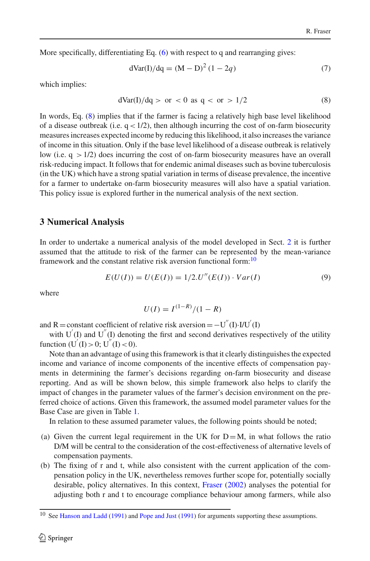<span id="page-6-0"></span>More specifically, differentiating Eq.  $(6)$  with respect to q and rearranging gives:

$$
dVar(I)/dq = (M - D)^{2} (1 - 2q)
$$
 (7)

which implies:

$$
dVar(I)/dq > or < 0 \text{ as } q < or > 1/2
$$
 (8)

In words, Eq. [\(8\)](#page-5-0) implies that if the farmer is facing a relatively high base level likelihood of a disease outbreak (i.e.  $q < 1/2$ ), then although incurring the cost of on-farm biosecurity measures increases expected income by reducing this likelihood, it also increases the variance of income in this situation. Only if the base level likelihood of a disease outbreak is relatively low (i.e.  $q > 1/2$ ) does incurring the cost of on-farm biosecurity measures have an overall risk-reducing impact. It follows that for endemic animal diseases such as bovine tuberculosis (in the UK) which have a strong spatial variation in terms of disease prevalence, the incentive for a farmer to undertake on-farm biosecurity measures will also have a spatial variation. This policy issue is explored further in the numerical analysis of the next section.

#### <span id="page-6-2"></span>**3 Numerical Analysis**

In order to undertake a numerical analysis of the model developed in Sect. [2](#page-2-0) it is further assumed that the attitude to risk of the farmer can be represented by the mean-variance framework and the constant relative risk aversion functional form:<sup>[10](#page-5-1)</sup>

$$
E(U(I)) = U(E(I)) = 1/2.U''(E(I)) \cdot Var(I)
$$
\n(9)

where

$$
U(I) = I^{(1-R)}/(1 - R)
$$

and R = constant coefficient of relative risk aversion =  $-U^{''}(I) \cdot I/U^{'}(I)$ 

with  $U'(I)$  and  $U''(I)$  denoting the first and second derivatives respectively of the utility function ( $U^{'}(I) > 0$ ;  $U^{'''}(I) < 0$ ).

Note than an advantage of using this framework is that it clearly distinguishes the expected income and variance of income components of the incentive effects of compensation payments in determining the farmer's decisions regarding on-farm biosecurity and disease reporting. And as will be shown below, this simple framework also helps to clarify the impact of changes in the parameter values of the farmer's decision environment on the preferred choice of actions. Given this framework, the assumed model parameter values for the Base Case are given in Table [1.](#page-6-0)

In relation to these assumed parameter values, the following points should be noted;

- (a) Given the current legal requirement in the UK for  $D=M$ , in what follows the ratio D/M will be central to the consideration of the cost-effectiveness of alternative levels of compensation payments.
- <span id="page-6-1"></span>(b) The fixing of r and t, while also consistent with the current application of the compensation policy in the UK, nevertheless removes further scope for, potentially socially desirable, policy alternatives. In this context, [Fraser](#page-12-6) [\(2002](#page-12-6)) analyses the potential for adjusting both r and t to encourage compliance behaviour among farmers, while also

<span id="page-6-3"></span><sup>10</sup> See [Hanson and Ladd](#page-12-7) [\(1991\)](#page-12-7) and [Pope and Just](#page-12-8) [\(1991](#page-12-8)) for arguments supporting these assumptions.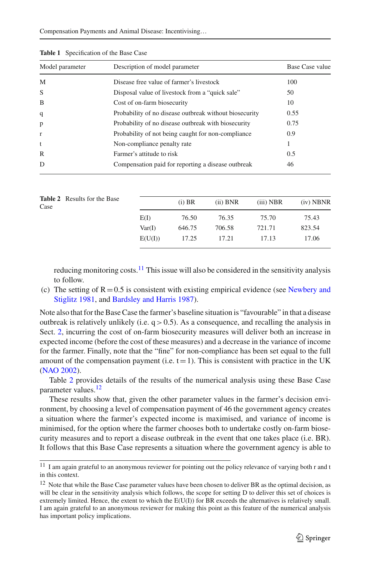<span id="page-7-1"></span>

| Model parameter | Description of model parameter                         | Base Case value |  |  |
|-----------------|--------------------------------------------------------|-----------------|--|--|
| M               | Disease free value of farmer's livestock               | 100             |  |  |
| S               | Disposal value of livestock from a "quick sale"        | 50              |  |  |
| B               | Cost of on-farm biosecurity                            | 10              |  |  |
| q               | Probability of no disease outbreak without biosecurity | 0.55            |  |  |
| p               | Probability of no disease outbreak with biosecurity    | 0.75            |  |  |
| r               | Probability of not being caught for non-compliance     | 0.9             |  |  |
| t               | Non-compliance penalty rate                            |                 |  |  |
| R               | Farmer's attitude to risk                              | 0.5             |  |  |
| D               | Compensation paid for reporting a disease outbreak     | 46              |  |  |

**Table 1** Specification of the Base Case

| <b>Table 2</b> Results for the Base<br>Case |         | (i) BR | $(ii)$ BNR | (iii) NBR | $(iv)$ NBNR |
|---------------------------------------------|---------|--------|------------|-----------|-------------|
|                                             | E(I)    | 76.50  | 76.35      | 75.70     | 75.43       |
|                                             | Var(I)  | 646.75 | 706.58     | 721.71    | 823.54      |
|                                             | E(U(I)) | 17.25  | 17.21      | 17.13     | 17.06       |
|                                             |         |        |            |           |             |

reducing monitoring costs. $\frac{11}{11}$  $\frac{11}{11}$  $\frac{11}{11}$  This issue will also be considered in the sensitivity analysis to follow.

(c) The setting of  $R = 0.5$  is consistent with existing empirical evidence (see Newbery and Stiglitz [1981,](#page-12-9) and [Bardsley and Harris 1987](#page-12-10)).

Note also that for the Base Case the farmer's baseline situation is "favourable" in that a disease outbreak is relatively unlikely (i.e.  $q > 0.5$ ). As a consequence, and recalling the analysis in Sect. [2,](#page-2-0) incurring the cost of on-farm biosecurity measures will deliver both an increase in expected income (before the cost of these measures) and a decrease in the variance of income for the farmer. Finally, note that the "fine" for non-compliance has been set equal to the full amount of the compensation payment (i.e.  $t = 1$ ). This is consistent with practice in the UK [\(NAO 2002](#page-12-0)).

Table [2](#page-6-2) provides details of the results of the numerical analysis using these Base Case parameter values.<sup>[12](#page-6-3)</sup>

These results show that, given the other parameter values in the farmer's decision environment, by choosing a level of compensation payment of 46 the government agency creates a situation where the farmer's expected income is maximised, and variance of income is minimised, for the option where the farmer chooses both to undertake costly on-farm biosecurity measures and to report a disease outbreak in the event that one takes place (i.e. BR). It follows that this Base Case represents a situation where the government agency is able to

<span id="page-7-2"></span><span id="page-7-0"></span><sup>&</sup>lt;sup>11</sup> I am again grateful to an anonymous reviewer for pointing out the policy relevance of varying both r and t in this context.

<span id="page-7-3"></span><sup>&</sup>lt;sup>12</sup> Note that while the Base Case parameter values have been chosen to deliver BR as the optimal decision, as will be clear in the sensitivity analysis which follows, the scope for setting D to deliver this set of choices is extremely limited. Hence, the extent to which the E(U(I)) for BR exceeds the alternatives is relatively small. I am again grateful to an anonymous reviewer for making this point as this feature of the numerical analysis has important policy implications.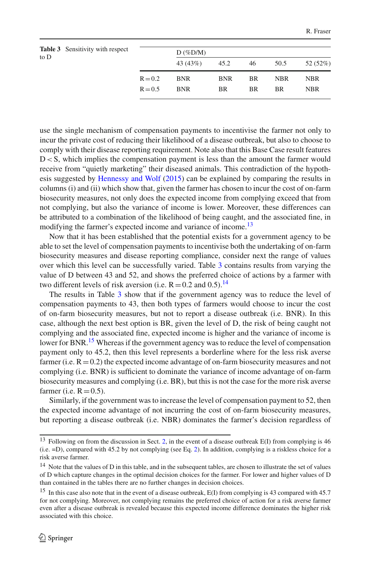<span id="page-8-0"></span>

| <b>Table 3</b> Sensitivity with respect<br>to D |           | $D$ (% $D/M$ ) |            |           |            | 52 (52%)<br><b>NBR</b> |
|-------------------------------------------------|-----------|----------------|------------|-----------|------------|------------------------|
|                                                 |           | 43 (43%)       | 45.2       | 46        | 50.5       |                        |
|                                                 | $R = 0.2$ | <b>BNR</b>     | <b>BNR</b> | <b>BR</b> | <b>NBR</b> |                        |
|                                                 | $R = 0.5$ | <b>BNR</b>     | BR.        | BR.       | BR.        | <b>NBR</b>             |

use the single mechanism of compensation payments to incentivise the farmer not only to incur the private cost of reducing their likelihood of a disease outbreak, but also to choose to comply with their disease reporting requirement. Note also that this Base Case result features  $D < S$ , which implies the compensation payment is less than the amount the farmer would receive from "quietly marketing" their diseased animals. This contradiction of the hypothesis suggested by [Hennessy and Wolf](#page-12-3) [\(2015\)](#page-12-3) can be explained by comparing the results in columns (i) and (ii) which show that, given the farmer has chosen to incur the cost of on-farm biosecurity measures, not only does the expected income from complying exceed that from not complying, but also the variance of income is lower. Moreover, these differences can be attributed to a combination of the likelihood of being caught, and the associated fine, in modifying the farmer's expected income and variance of income.<sup>[13](#page-7-0)</sup>

Now that it has been established that the potential exists for a government agency to be able to set the level of compensation payments to incentivise both the undertaking of on-farm biosecurity measures and disease reporting compliance, consider next the range of values over which this level can be successfully varied. Table [3](#page-7-1) contains results from varying the value of D between 43 and 52, and shows the preferred choice of actions by a farmer with two different levels of risk aversion (i.e.  $R = 0.2$  and 0.5).<sup>[14](#page-7-2)</sup>

The results in Table [3](#page-7-1) show that if the government agency was to reduce the level of compensation payments to 43, then both types of farmers would choose to incur the cost of on-farm biosecurity measures, but not to report a disease outbreak (i.e. BNR). In this case, although the next best option is BR, given the level of D, the risk of being caught not complying and the associated fine, expected income is higher and the variance of income is lower for BNR.<sup>[15](#page-7-3)</sup> Whereas if the government agency was to reduce the level of compensation payment only to 45.2, then this level represents a borderline where for the less risk averse farmer (i.e.  $R = 0.2$ ) the expected income advantage of on-farm biosecurity measures and not complying (i.e. BNR) is sufficient to dominate the variance of income advantage of on-farm biosecurity measures and complying (i.e. BR), but this is not the case for the more risk averse farmer (i.e.  $R = 0.5$ ).

Similarly, if the government was to increase the level of compensation payment to 52, then the expected income advantage of not incurring the cost of on-farm biosecurity measures, but reporting a disease outbreak (i.e. NBR) dominates the farmer's decision regardless of

<sup>&</sup>lt;sup>13</sup> Following on from the discussion in Sect. [2,](#page-2-0) in the event of a disease outbreak E(I) from complying is 46 (i.e. =D), compared with 45.2 by not complying (see Eq. [2\)](#page-4-6). In addition, complying is a riskless choice for a risk averse farmer.

<sup>&</sup>lt;sup>14</sup> Note that the values of D in this table, and in the subsequent tables, are chosen to illustrate the set of values of D which capture changes in the optimal decision choices for the farmer. For lower and higher values of D than contained in the tables there are no further changes in decision choices.

<span id="page-8-1"></span><sup>&</sup>lt;sup>15</sup> In this case also note that in the event of a disease outbreak, E(I) from complying is 43 compared with 45.7 for not complying. Moreover, not complying remains the preferred choice of action for a risk averse farmer even after a disease outbreak is revealed because this expected income difference dominates the higher risk associated with this choice.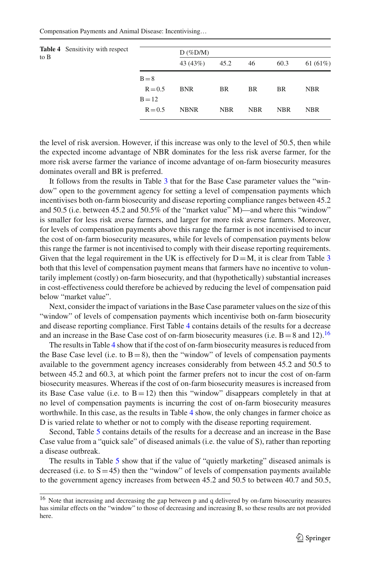| Compensation Payments and Animal Disease: Incentivising |  |  |
|---------------------------------------------------------|--|--|
|---------------------------------------------------------|--|--|

<span id="page-9-0"></span>

| to B | <b>Table 4</b> Sensitivity with respect |           | $D$ (% $D/M$ ) |            |            |            |             |
|------|-----------------------------------------|-----------|----------------|------------|------------|------------|-------------|
|      |                                         |           | 43 (43%)       | 45.2       | 46         | 60.3       | 61 $(61\%)$ |
|      |                                         | $B = 8$   |                |            |            |            |             |
|      |                                         | $R = 0.5$ | <b>BNR</b>     | <b>BR</b>  | <b>BR</b>  | BR         | <b>NBR</b>  |
|      |                                         | $B = 12$  |                |            |            |            |             |
|      |                                         | $R = 0.5$ | <b>NBNR</b>    | <b>NBR</b> | <b>NBR</b> | <b>NBR</b> | <b>NBR</b>  |

<span id="page-9-1"></span>the level of risk aversion. However, if this increase was only to the level of 50.5, then while the expected income advantage of NBR dominates for the less risk averse farmer, for the more risk averse farmer the variance of income advantage of on-farm biosecurity measures dominates overall and BR is preferred.

It follows from the results in Table [3](#page-7-1) that for the Base Case parameter values the "window" open to the government agency for setting a level of compensation payments which incentivises both on-farm biosecurity and disease reporting compliance ranges between 45.2 and 50.5 (i.e. between 45.2 and 50.5% of the "market value" M)—and where this "window" is smaller for less risk averse farmers, and larger for more risk averse farmers. Moreover, for levels of compensation payments above this range the farmer is not incentivised to incur the cost of on-farm biosecurity measures, while for levels of compensation payments below this range the farmer is not incentivised to comply with their disease reporting requirements. Given that the legal requirement in the UK is effectively for  $D = M$ , it is clear from Table [3](#page-7-1) both that this level of compensation payment means that farmers have no incentive to voluntarily implement (costly) on-farm biosecurity, and that (hypothetically) substantial increases in cost-effectiveness could therefore be achieved by reducing the level of compensation paid below "market value".

Next, consider the impact of variations in the Base Case parameter values on the size of this "window" of levels of compensation payments which incentivise both on-farm biosecurity and disease reporting compliance. First Table [4](#page-8-0) contains details of the results for a decrease and an increase in the Base Case cost of on-farm biosecurity measures (i.e.  $B = 8$  and 12).<sup>[16](#page-8-1)</sup>

The results in Table [4](#page-8-0) show that if the cost of on-farm biosecurity measures is reduced from the Base Case level (i.e. to  $B=8$ ), then the "window" of levels of compensation payments available to the government agency increases considerably from between 45.2 and 50.5 to between 45.2 and 60.3, at which point the farmer prefers not to incur the cost of on-farm biosecurity measures. Whereas if the cost of on-farm biosecurity measures is increased from its Base Case value (i.e. to  $B = 12$ ) then this "window" disappears completely in that at no level of compensation payments is incurring the cost of on-farm biosecurity measures worthwhile. In this case, as the results in Table [4](#page-8-0) show, the only changes in farmer choice as D is varied relate to whether or not to comply with the disease reporting requirement.

Second, Table [5](#page-9-0) contains details of the results for a decrease and an increase in the Base Case value from a "quick sale" of diseased animals (i.e. the value of S), rather than reporting a disease outbreak.

The results in Table [5](#page-9-0) show that if the value of "quietly marketing" diseased animals is decreased (i.e. to  $S = 45$ ) then the "window" of levels of compensation payments available to the government agency increases from between 45.2 and 50.5 to between 40.7 and 50.5,

<span id="page-9-3"></span><span id="page-9-2"></span><sup>16</sup> Note that increasing and decreasing the gap between p and q delivered by on-farm biosecurity measures has similar effects on the "window" to those of decreasing and increasing B, so these results are not provided here.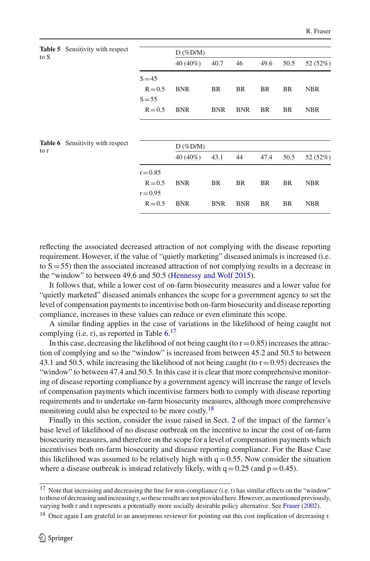<span id="page-10-0"></span>

|      | <b>Table 5</b> Sensitivity with respect |            | $D$ (% $D/M$ ) |            |            |           |      |            |
|------|-----------------------------------------|------------|----------------|------------|------------|-----------|------|------------|
| to S |                                         |            | 40 (40%)       | 40.7       | 46         | 49.6      | 50.5 | 52 (52%)   |
|      |                                         | $S = 45$   |                |            |            |           |      |            |
|      |                                         | $R = 0.5$  | <b>BNR</b>     | BR         | <b>BR</b>  | <b>BR</b> | BR   | <b>NBR</b> |
|      |                                         | $S = 55$   |                |            |            |           |      |            |
|      |                                         | $R = 0.5$  | <b>BNR</b>     | <b>BNR</b> | <b>BNR</b> | BR        | BR   | <b>NBR</b> |
| to r | <b>Table 6</b> Sensitivity with respect |            | $D$ (% $D/M$ ) |            |            |           |      |            |
|      |                                         |            | 40 (40%)       | 43.1       | 44         | 47.4      | 50.5 | 52 (52%)   |
|      |                                         | $r = 0.85$ |                |            |            |           |      |            |
|      |                                         | $R = 0.5$  | <b>BNR</b>     | BR         | <b>BR</b>  | <b>BR</b> | BR   | <b>NBR</b> |
|      |                                         | $r = 0.95$ |                |            |            |           |      |            |
|      |                                         | $R = 0.5$  | <b>BNR</b>     | <b>BNR</b> | <b>BNR</b> | BR        | BR   | <b>NBR</b> |

reflecting the associated decreased attraction of not complying with the disease reporting requirement. However, if the value of "quietly marketing" diseased animals is increased (i.e. to  $S = 55$ ) then the associated increased attraction of not complying results in a decrease in the "window" to between 49.6 and 50.5 [\(Hennessy and Wolf 2015](#page-12-3)).

It follows that, while a lower cost of on-farm biosecurity measures and a lower value for "quietly marketed" diseased animals enhances the scope for a government agency to set the level of compensation payments to incentivise both on-farm biosecurity and disease reporting compliance, increases in these values can reduce or even eliminate this scope.

A similar finding applies in the case of variations in the likelihood of being caught not complying (i.e. r), as reported in Table  $6<sup>17</sup>$  $6<sup>17</sup>$  $6<sup>17</sup>$ 

In this case, decreasing the likelihood of not being caught (to  $r = 0.85$ ) increases the attraction of complying and so the "window" is increased from between 45.2 and 50.5 to between 43.1 and 50.5, while increasing the likelihood of not being caught (to  $r=0.95$ ) decreases the "window" to between 47.4 and 50.5. In this case it is clear that more comprehensive monitoring of disease reporting compliance by a government agency will increase the range of levels of compensation payments which incentivise farmers both to comply with disease reporting requirements and to undertake on-farm biosecurity measures, although more comprehensive monitoring could also be expected to be more costly.<sup>[18](#page-9-3)</sup>

Finally in this section, consider the issue raised in Sect. [2](#page-2-0) of the impact of the farmer's base level of likelihood of no disease outbreak on the incentive to incur the cost of on-farm biosecurity measures, and therefore on the scope for a level of compensation payments which incentivises both on-farm biosecurity and disease reporting compliance. For the Base Case this likelihood was assumed to be relatively high with  $q=0.55$ . Now consider the situation where a disease outbreak is instead relatively likely, with  $q=0.25$  (and  $p=0.45$ ).

<sup>&</sup>lt;sup>17</sup> Note that increasing and decreasing the fine for non-compliance (i.e. t) has similar effects on the "window" to those of decreasing and increasing r, so these results are not provided here. However, as mentioned previously, varying both r and t represents a potentially more socially desirable policy alternative. See [Fraser](#page-12-6) [\(2002\)](#page-12-6).

<span id="page-10-1"></span><sup>&</sup>lt;sup>18</sup> Once again I am grateful to an anonymous reviewer for pointing out this cost implication of decreasing r.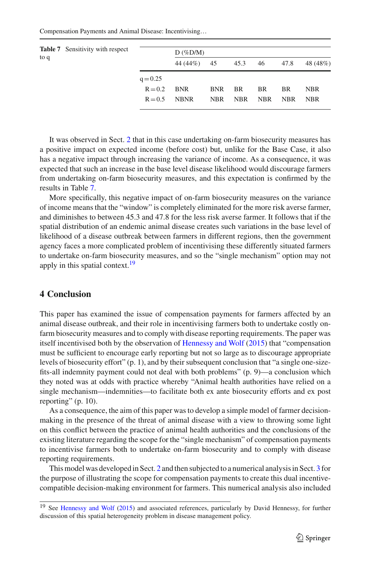|  |  |  |  |  |  | Compensation Payments and Animal Disease: Incentivising |
|--|--|--|--|--|--|---------------------------------------------------------|
|--|--|--|--|--|--|---------------------------------------------------------|

|      | <b>Table 7</b> Sensitivity with respect |            | $D$ (% $D/M$ ) |            |         |            |            |            |
|------|-----------------------------------------|------------|----------------|------------|---------|------------|------------|------------|
| to q |                                         |            | 44 (44%)       | 45         | 45.3 46 |            | 47.8       | 48 (48%)   |
|      |                                         | $q = 0.25$ |                |            |         |            |            |            |
|      |                                         | $R = 0.2$  | <b>BNR</b>     | BNR        | BR      | BR.        | <b>BR</b>  | <b>NBR</b> |
|      |                                         | $R = 0.5$  | <b>NBNR</b>    | <b>NBR</b> | NBR     | <b>NBR</b> | <b>NBR</b> | <b>NBR</b> |
|      |                                         |            |                |            |         |            |            |            |

It was observed in Sect. [2](#page-2-0) that in this case undertaking on-farm biosecurity measures has a positive impact on expected income (before cost) but, unlike for the Base Case, it also has a negative impact through increasing the variance of income. As a consequence, it was expected that such an increase in the base level disease likelihood would discourage farmers from undertaking on-farm biosecurity measures, and this expectation is confirmed by the results in Table [7.](#page-10-0)

More specifically, this negative impact of on-farm biosecurity measures on the variance of income means that the "window" is completely eliminated for the more risk averse farmer, and diminishes to between 45.3 and 47.8 for the less risk averse farmer. It follows that if the spatial distribution of an endemic animal disease creates such variations in the base level of likelihood of a disease outbreak between farmers in different regions, then the government agency faces a more complicated problem of incentivising these differently situated farmers to undertake on-farm biosecurity measures, and so the "single mechanism" option may not apply in this spatial context.<sup>[19](#page-10-1)</sup>

#### **4 Conclusion**

This paper has examined the issue of compensation payments for farmers affected by an animal disease outbreak, and their role in incentivising farmers both to undertake costly onfarm biosecurity measures and to comply with disease reporting requirements. The paper was itself incentivised both by the observation of [Hennessy and Wolf](#page-12-3) [\(2015\)](#page-12-3) that "compensation must be sufficient to encourage early reporting but not so large as to discourage appropriate levels of biosecurity effort" (p. 1), and by their subsequent conclusion that "a single one-sizefits-all indemnity payment could not deal with both problems" (p. 9)—a conclusion which they noted was at odds with practice whereby "Animal health authorities have relied on a single mechanism—indemnities—to facilitate both ex ante biosecurity efforts and ex post reporting" (p. 10).

As a consequence, the aim of this paper was to develop a simple model of farmer decisionmaking in the presence of the threat of animal disease with a view to throwing some light on this conflict between the practice of animal health authorities and the conclusions of the existing literature regarding the scope for the "single mechanism" of compensation payments to incentivise farmers both to undertake on-farm biosecurity and to comply with disease reporting requirements.

This model was developed in Sect. [2](#page-2-0) and then subjected to a numerical analysis in Sect. [3](#page-5-2) for the purpose of illustrating the scope for compensation payments to create this dual incentivecompatible decision-making environment for farmers. This numerical analysis also included

<span id="page-11-0"></span><sup>&</sup>lt;sup>19</sup> See [Hennessy and Wolf](#page-12-3) [\(2015\)](#page-12-3) and associated references, particularly by David Hennessy, for further discussion of this spatial heterogeneity problem in disease management policy.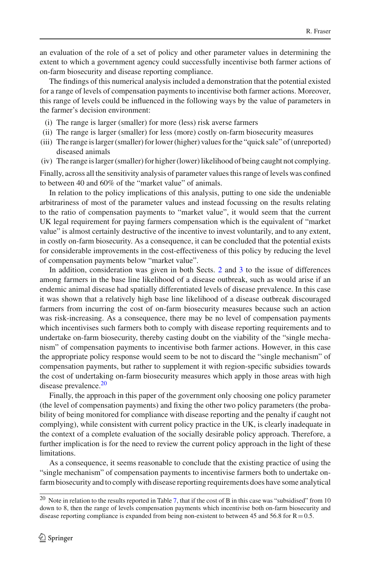an evaluation of the role of a set of policy and other parameter values in determining the extent to which a government agency could successfully incentivise both farmer actions of on-farm biosecurity and disease reporting compliance.

The findings of this numerical analysis included a demonstration that the potential existed for a range of levels of compensation payments to incentivise both farmer actions. Moreover, this range of levels could be influenced in the following ways by the value of parameters in the farmer's decision environment:

- (i) The range is larger (smaller) for more (less) risk averse farmers
- (ii) The range is larger (smaller) for less (more) costly on-farm biosecurity measures
- (iii) The range is larger (smaller) for lower (higher) values for the "quick sale" of (unreported) diseased animals
- (iv) The range is larger (smaller) for higher (lower) likelihood of being caught not complying.

Finally, across all the sensitivity analysis of parameter values this range of levels was confined to between 40 and 60% of the "market value" of animals.

<span id="page-12-10"></span><span id="page-12-6"></span><span id="page-12-2"></span>In relation to the policy implications of this analysis, putting to one side the undeniable arbitrariness of most of the parameter values and instead focussing on the results relating to the ratio of compensation payments to "market value", it would seem that the current UK legal requirement for paying farmers compensation which is the equivalent of "market value" is almost certainly destructive of the incentive to invest voluntarily, and to any extent, in costly on-farm biosecurity. As a consequence, it can be concluded that the potential exists for considerable improvements in the cost-effectiveness of this policy by reducing the level of compensation payments below "market value".

<span id="page-12-9"></span><span id="page-12-7"></span><span id="page-12-5"></span><span id="page-12-4"></span><span id="page-12-3"></span><span id="page-12-1"></span><span id="page-12-0"></span>In addition, consideration was given in both Sects. [2](#page-2-0) and [3](#page-5-2) to the issue of differences among farmers in the base line likelihood of a disease outbreak, such as would arise if an endemic animal disease had spatially differentiated levels of disease prevalence. In this case it was shown that a relatively high base line likelihood of a disease outbreak discouraged farmers from incurring the cost of on-farm biosecurity measures because such an action was risk-increasing. As a consequence, there may be no level of compensation payments which incentivises such farmers both to comply with disease reporting requirements and to undertake on-farm biosecurity, thereby casting doubt on the viability of the "single mechanism" of compensation payments to incentivise both farmer actions. However, in this case the appropriate policy response would seem to be not to discard the "single mechanism" of compensation payments, but rather to supplement it with region-specific subsidies towards the cost of undertaking on-farm biosecurity measures which apply in those areas with high disease prevalence.<sup>[20](#page-11-0)</sup>

<span id="page-12-8"></span>Finally, the approach in this paper of the government only choosing one policy parameter (the level of compensation payments) and fixing the other two policy parameters (the probability of being monitored for compliance with disease reporting and the penalty if caught not complying), while consistent with current policy practice in the UK, is clearly inadequate in the context of a complete evaluation of the socially desirable policy approach. Therefore, a further implication is for the need to review the current policy approach in the light of these limitations.

As a consequence, it seems reasonable to conclude that the existing practice of using the "single mechanism" of compensation payments to incentivise farmers both to undertake onfarm biosecurity and to comply with disease reporting requirements does have some analytical

<sup>&</sup>lt;sup>20</sup> Note in relation to the results reported in Table [7,](#page-10-0) that if the cost of B in this case was "subsidised" from 10 down to 8, then the range of levels compensation payments which incentivise both on-farm biosecurity and disease reporting compliance is expanded from being non-existent to between 45 and 56.8 for  $R = 0.5$ .